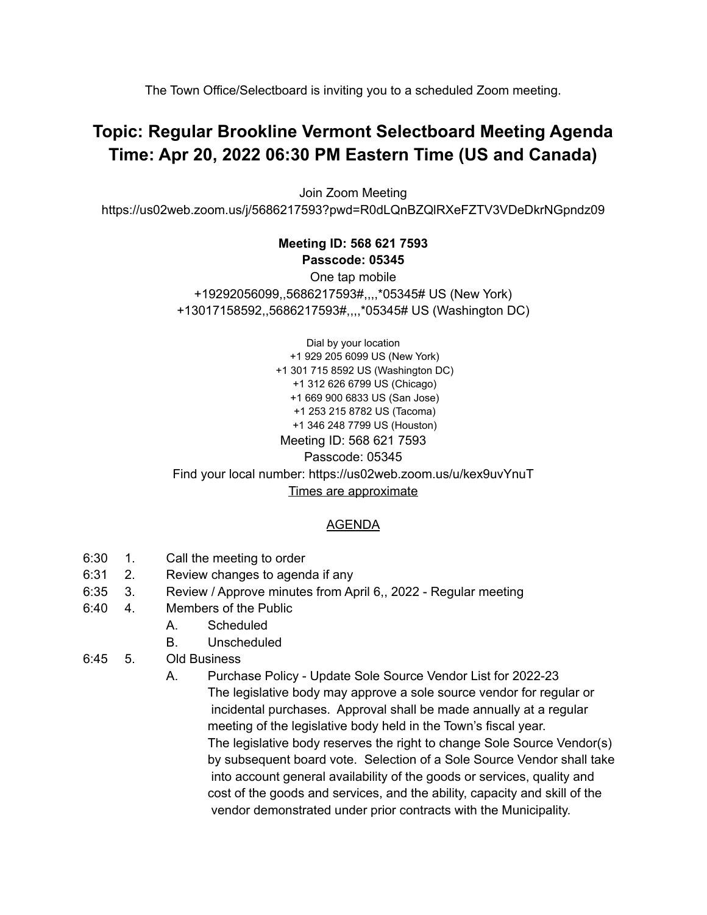The Town Office/Selectboard is inviting you to a scheduled Zoom meeting.

## **Topic: Regular Brookline Vermont Selectboard Meeting Agenda Time: Apr 20, 2022 06:30 PM Eastern Time (US and Canada)**

Join Zoom Meeting https://us02web.zoom.us/j/5686217593?pwd=R0dLQnBZQlRXeFZTV3VDeDkrNGpndz09

## **Meeting ID: 568 621 7593 Passcode: 05345**

One tap mobile +19292056099,,5686217593#,,,,\*05345# US (New York) +13017158592,,5686217593#,,,,\*05345# US (Washington DC)

Dial by your location +1 929 205 6099 US (New York) +1 301 715 8592 US (Washington DC) +1 312 626 6799 US (Chicago) +1 669 900 6833 US (San Jose) +1 253 215 8782 US (Tacoma) +1 346 248 7799 US (Houston) Meeting ID: 568 621 7593 Passcode: 05345 Find your local number: https://us02web.zoom.us/u/kex9uvYnuT Times are approximate

## AGENDA

- 6:30 1. Call the meeting to order
- 6:31 2. Review changes to agenda if any
- 6:35 3. Review / Approve minutes from April 6,, 2022 Regular meeting
- 6:40 4. Members of the Public
	- A. Scheduled
	- B. Unscheduled
- 6:45 5. Old Business
	- A. Purchase Policy Update Sole Source Vendor List for 2022-23 The legislative body may approve a sole source vendor for regular or incidental purchases. Approval shall be made annually at a regular meeting of the legislative body held in the Town's fiscal year. The legislative body reserves the right to change Sole Source Vendor(s) by subsequent board vote. Selection of a Sole Source Vendor shall take into account general availability of the goods or services, quality and cost of the goods and services, and the ability, capacity and skill of the vendor demonstrated under prior contracts with the Municipality.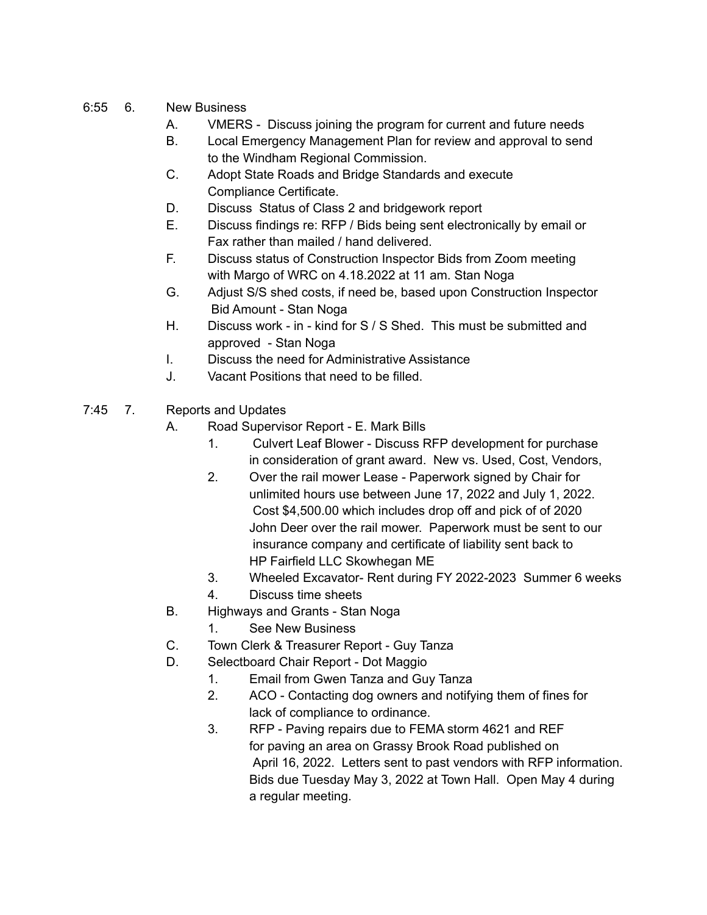## 6:55 6. New Business

- A. VMERS Discuss joining the program for current and future needs
- B. Local Emergency Management Plan for review and approval to send to the Windham Regional Commission.
- C. Adopt State Roads and Bridge Standards and execute Compliance Certificate.
- D. Discuss Status of Class 2 and bridgework report
- E. Discuss findings re: RFP / Bids being sent electronically by email or Fax rather than mailed / hand delivered.
- F. Discuss status of Construction Inspector Bids from Zoom meeting with Margo of WRC on 4.18.2022 at 11 am. Stan Noga
- G. Adjust S/S shed costs, if need be, based upon Construction Inspector Bid Amount - Stan Noga
- H. Discuss work in kind for S / S Shed. This must be submitted and approved - Stan Noga
- I. Discuss the need for Administrative Assistance
- J. Vacant Positions that need to be filled.
- 7:45 7. Reports and Updates
	- A. Road Supervisor Report E. Mark Bills
		- 1. Culvert Leaf Blower Discuss RFP development for purchase in consideration of grant award. New vs. Used, Cost, Vendors,
		- 2. Over the rail mower Lease Paperwork signed by Chair for unlimited hours use between June 17, 2022 and July 1, 2022. Cost \$4,500.00 which includes drop off and pick of of 2020 John Deer over the rail mower. Paperwork must be sent to our insurance company and certificate of liability sent back to HP Fairfield LLC Skowhegan ME
		- 3. Wheeled Excavator- Rent during FY 2022-2023 Summer 6 weeks
		- 4. Discuss time sheets
	- B. Highways and Grants Stan Noga
		- 1. See New Business
	- C. Town Clerk & Treasurer Report Guy Tanza
	- D. Selectboard Chair Report Dot Maggio
		- 1. Email from Gwen Tanza and Guy Tanza
		- 2. ACO Contacting dog owners and notifying them of fines for lack of compliance to ordinance.
		- 3. RFP Paving repairs due to FEMA storm 4621 and REF for paving an area on Grassy Brook Road published on April 16, 2022. Letters sent to past vendors with RFP information. Bids due Tuesday May 3, 2022 at Town Hall. Open May 4 during a regular meeting.